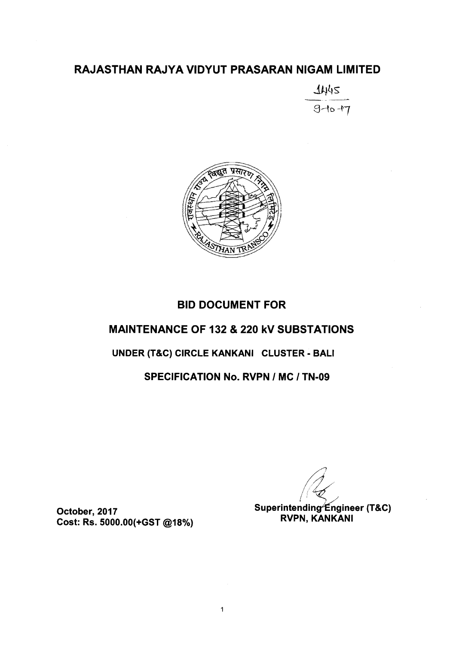## RAJASTHAN RAJYA VIDYUT PRASARAN NIGAM LIMITED

*~~s*  $9 - 10 - 7$ 



# BID DOCUMENT FOR MAINTENANCE OF 132 & 220 kV SUBSTATIONS UNDER (T&C) CIRCLE KANKANI CLUSTER - BALI

# SPECIFICATION No. RVPN *I* MC *I* TN-09

October, 2017 Cost: Rs. 5000.00(+GST @18%)

 $\sqrt{2}$ |<br>|<br>|<br>|

Superintending∕Engineer (T&C) RVPN, KANKANI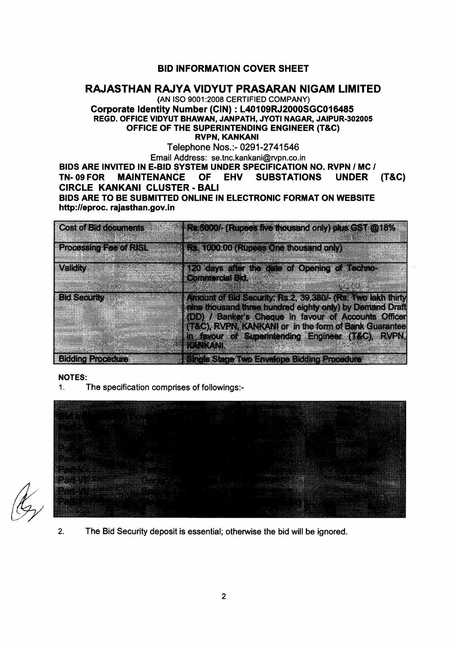#### BID INFORMATION COVER SHEET

#### RAJASTHAN RAJYA VIDYUT PRASARAN NIGAM LIMITED

#### (AN ISO 9001:2008 CERTIFIED COMPANY) Corporate Identity Number (CIN) : L40109RJ2000SGC016485 REGD. OFFICE VIDYUT BHAWAN, JANPATH, JYOTI NAGAR, JAIPUR-302005 OFFICE OF THE SUPERINTENDING ENGINEER (T&C) RVPN, KANKANI

Telephone Nos.:- 0291-2741546

Email Address: se.tnc.kankani@rvpn.co.in BIDS ARE INVITED IN E-BID SYSTEM UNDER SPECIFICATION NO. RVPN *I* MC *I* TN- 09 FOR MAINTENANCE OF EHV SUBSTATIONS UNDER (T&C) CIRCLE KANKANI CLUSTER - BALI BIDS ARE TO BE SUBMITTED ONLINE IN ELECTRONIC FORMAT ON WEBSITE http://eproc.rajasthan.gov.in

| <b>Cost of Bid documents</b>  | Re 5000/- (Rupees five thousand only) plus GST @18%                                                                                                                                                                                                                                                              |
|-------------------------------|------------------------------------------------------------------------------------------------------------------------------------------------------------------------------------------------------------------------------------------------------------------------------------------------------------------|
| <b>Processing Fee of RISL</b> | Rs. 1000.00 (Rupees One thousand only)                                                                                                                                                                                                                                                                           |
| Validity                      | 120 days after the date of Opening of Techno-<br><b>Commercial Bid.</b>                                                                                                                                                                                                                                          |
| <b>Bid Security</b>           | Amount of Bid Security: Rs.2, 39,380/- (Rs. Two lakh thirty<br>nine thousand three hundred eighty only) by Demand Draft<br>(DD) / Banker's Cheque in favour of Accounts Officer<br>(T&C), RVPN, KANKANI or in the form of Bank Guarantee<br>in favour of Superintending Engineer (T&C), RVPN,<br><b>TONIONIE</b> |
| <b>Bidding Procedure</b>      | Single Stage Two Envelope Bidding Procedure                                                                                                                                                                                                                                                                      |

#### NOTES:

1. The specification comprises of followings:-



2. The Bid Security deposit is essential; otherwise the bid will be ignored.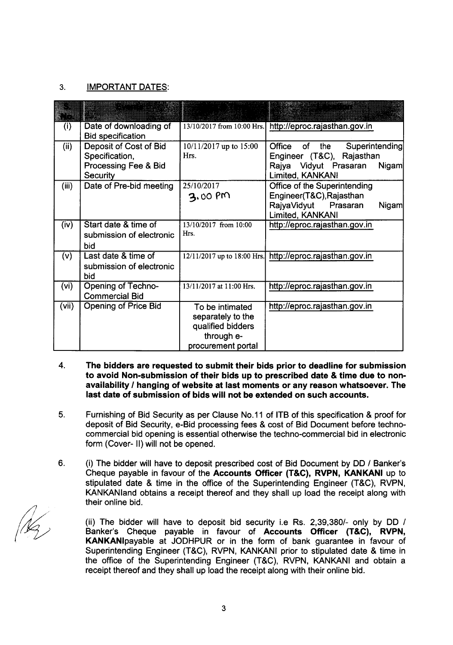#### 3. IMPORTANT DATES:

| (i)   | Date of downloading of<br><b>Bid specification</b>                                  |                                                                                               | 13/10/2017 from 10:00 Hrs. http://eproc.rajasthan.gov.in                                                                     |
|-------|-------------------------------------------------------------------------------------|-----------------------------------------------------------------------------------------------|------------------------------------------------------------------------------------------------------------------------------|
| (ii)  | Deposit of Cost of Bid<br>Specification,<br>Processing Fee & Bid<br><b>Security</b> | 10/11/2017 up to 15:00<br>Hrs.                                                                | Office of<br>the<br>Superintending<br>Engineer (T&C), Rajasthan<br>Rajya Vidyut Prasaran<br><b>Nigam</b><br>Limited, KANKANI |
| (iii) | Date of Pre-bid meeting                                                             | 25/10/2017<br>3.00 PM                                                                         | Office of the Superintending<br>Engineer(T&C), Rajasthan<br>RajyaVidyut Prasaran<br>Nigam<br>Limited, KANKANI                |
| (iv)  | Start date & time of<br>submission of electronic<br>bid                             | 13/10/2017 from 10:00<br>Hrs.                                                                 | http://eproc.rajasthan.gov.in                                                                                                |
| (v)   | Last date & time of<br>submission of electronic<br>bid                              |                                                                                               | 12/11/2017 up to 18:00 Hrs. http://eproc.rajasthan.gov.in                                                                    |
| (vi)  | <b>Opening of Techno-</b><br><b>Commercial Bid</b>                                  | 13/11/2017 at 11:00 Hrs.                                                                      | http://eproc.rajasthan.gov.in                                                                                                |
| (vii) | <b>Opening of Price Bid</b>                                                         | To be intimated<br>separately to the<br>qualified bidders<br>through e-<br>procurement portal | http://eproc.rajasthan.gov.in                                                                                                |

- 4. The bidders are requested to submit their bids prior to deadline for submission to avoid Non-submission of their bids up to prescribed date & time due to nonavailability *I* hanging of website at last moments or any reason whatsoever. The last date of submission of bids will not be extended on such accounts.
- 5. Furnishing of Bid Security as per Clause No.11 of ITB of this specification & proof for deposit of Bid Security, e-Bid processing fees & cost of Bid Document before technocommercial bid opening is essential otherwise the techno-commercial bid in electronic form (Cover- II) will not be opened.
- 6. (i) The bidder will have to deposit prescribed cost of Bid Document by DD *1* Banker's Cheque payable in favour of the Accounts Officer (T&C), RVPN, KANKANI up to stipulated date & time in the office of the Superintending Engineer (T&C), RVPN, KANKANland obtains a receipt thereof and they shall up load the receipt along with their online bid.

(ii) The bidder will have to deposit bid security i.e Rs. *2,39,3801-* only by DD *1* Banker's Cheque payable in favour of Accounts Officer (T&C), RVPN, KANKANlpayable at JODHPUR or in the form of bank guarantee in favour of Superintending Engineer (T&C), RVPN, KANKANI prior to stipulated date & time in the office of the Superintending Engineer (T&C), RVPN, KANKANI and obtain a receipt thereof and they shall up load the receipt along with their online bid.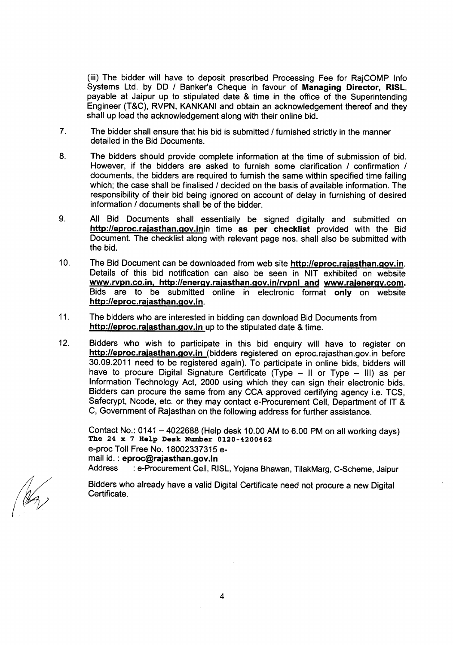(iii) The bidder will have to deposit prescribed Processing Fee for RajCOMP Info Systems Ltd. by DO *I* Banker's Cheque in favour of Managing Director, RISL, payable at Jaipur up to stipulated date & time in the office of the Superintending Engineer (T&C), RVPN, KANKANI and obtain an acknowledgement thereof and they shall up load the acknowledgement along with their online bid.

- 7. The bidder shall ensure that his bid is submitted *I* furnished strictly in the manner detailed in the Bid Documents.
- 8. The bidders should provide complete information at the time of submission of bid. However, if the bidders are asked to furnish some clarification *I* confirmation *I* documents, the bidders are required to furnish the same within specified time failing which; the case shall be finalised / decided on the basis of available information. The responsibility of their bid being ignored on account of delay in furnishing of desired information / documents shall be of the bidder.
- 9. All Bid Documents shall essentially be signed digitally and submitted on http://eproc.rajasthan.gov.inin time as per checklist provided with the Bid Document. The checklist along with relevant page nos. shall also be submitted with the bid.
- 10. The Bid Document can be downloaded from web site http://eproc.rajasthan.gov.in. Details of this bid notification can also be seen in NIT exhibited on website www.rvpn.co.in, http://energy.rajasthan.gov.in/rvpnl and www.rajenergy.com. Bids are to be submitted online in electronic format only on website http://eproc.rajasthan.gov.in.
- 11. The bidders who are interested in bidding can download Bid Documents from http://eproc.rajasthan.gov.in up to the stipulated date & time.
- 12. Bidders who wish to participate in this bid enquiry will have to register on http://eproc.rajasthan.gov.in (bidders registered on eproc.rajasthan.gov.in before 30.09.2011 need to be registered again). To participate in online bids, bidders will have to procure Digital Signature Certificate (Type  $-$  II or Type  $-$  III) as per Information Technology Act, 2000 using which they can sign their electronic bids. Bidders can procure the same from any CCA approved certifying agency i.e. TCS, Safecrypt, Ncode, etc. or they may contact e-Procurement Cell, Department of IT & C, Government of Rajasthan on the following address for further assistance.

Contact No.: 0141 - 4022688 (Help desk 10.00 AM to 6.00 PM on all working days) The 24 x 7 Help Desk Number 0120-4200462 e-proc Toll Free No. 18002337315 email id. : eproc@rajasthan.gov.in Address : e-Procurement Cell, RISL, Yojana Bhawan, TilakMarg, C-Scheme, Jaipur

Bidders who already have a valid Digital Certificate need not procure a new Digital Certificate.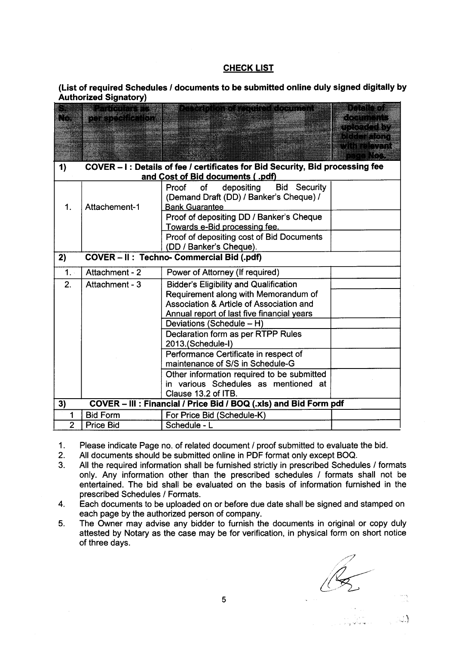#### **CHECK LIST**

#### **(List of required Schedules** *I* **documents to be submitted online duly signed digitally by Authorized Signatory)**

|                |                                                                               | Particulars as a particulation of required document               | EN STRIST                              |  |  |  |  |
|----------------|-------------------------------------------------------------------------------|-------------------------------------------------------------------|----------------------------------------|--|--|--|--|
|                | <b>MERSON NEWSBY</b>                                                          |                                                                   | <u>S PARTING TIME </u><br>an sering Sh |  |  |  |  |
|                |                                                                               |                                                                   |                                        |  |  |  |  |
|                |                                                                               |                                                                   |                                        |  |  |  |  |
|                |                                                                               |                                                                   | 1999                                   |  |  |  |  |
| 1)             | COVER - I: Details of fee / certificates for Bid Security, Bid processing fee |                                                                   |                                        |  |  |  |  |
|                |                                                                               | and Cost of Bid documents (.pdf)                                  |                                        |  |  |  |  |
|                |                                                                               | depositing<br>Proof<br><b>Bid Security</b><br>of                  |                                        |  |  |  |  |
| 1.             | Attachement-1                                                                 | (Demand Draft (DD) / Banker's Cheque) /<br><b>Bank Guarantee</b>  |                                        |  |  |  |  |
|                |                                                                               | Proof of depositing DD / Banker's Cheque                          |                                        |  |  |  |  |
|                |                                                                               | Towards e-Bid processing fee.                                     |                                        |  |  |  |  |
|                |                                                                               | Proof of depositing cost of Bid Documents                         |                                        |  |  |  |  |
|                |                                                                               | (DD / Banker's Cheque).                                           |                                        |  |  |  |  |
| 2)             |                                                                               | COVER - II : Techno- Commercial Bid (.pdf)                        |                                        |  |  |  |  |
| 1.1            | Attachment - 2                                                                | Power of Attorney (If required)                                   |                                        |  |  |  |  |
| 2.             | Attachment - 3                                                                | <b>Bidder's Eligibility and Qualification</b>                     |                                        |  |  |  |  |
|                |                                                                               | Requirement along with Memorandum of                              |                                        |  |  |  |  |
|                |                                                                               | Association & Article of Association and                          |                                        |  |  |  |  |
|                |                                                                               | Annual report of last five financial years                        |                                        |  |  |  |  |
|                |                                                                               | Deviations (Schedule - H)                                         |                                        |  |  |  |  |
|                |                                                                               | Declaration form as per RTPP Rules                                |                                        |  |  |  |  |
|                |                                                                               | 2013.(Schedule-I)                                                 |                                        |  |  |  |  |
|                |                                                                               | Performance Certificate in respect of                             |                                        |  |  |  |  |
|                |                                                                               | maintenance of S/S in Schedule-G                                  |                                        |  |  |  |  |
|                |                                                                               | Other information required to be submitted                        |                                        |  |  |  |  |
|                |                                                                               | in various Schedules as mentioned at                              |                                        |  |  |  |  |
|                |                                                                               | Clause 13.2 of ITB.                                               |                                        |  |  |  |  |
| 3)             |                                                                               | COVER - III : Financial / Price Bid / BOQ (.xls) and Bid Form pdf |                                        |  |  |  |  |
|                | <b>Bid Form</b>                                                               | For Price Bid (Schedule-K)                                        |                                        |  |  |  |  |
| $\overline{2}$ | <b>Price Bid</b>                                                              | Schedule - L                                                      |                                        |  |  |  |  |

1. Please indicate Page no. of related document / proof submitted to evaluate the bid.<br>2. All documents should be submitted online in PDF format only except BOQ.

- 2. All documents should be submitted online in PDF format only except BOQ.<br>3. All the required information shall be furnished strictly in prescribed Schedu
- All the required information shall be furnished strictly in prescribed Schedules / formats only. Any information other than the prescribed schedules / formats shall not be entertained. The bid shall be evaluated on the basis of information furnished in the prescribed Schedules / Formats.
- 4. Each documents to be uploaded on or before due date shall be signed and stamped on each page by the authorized person of company.
- 5. The Owner may advise any bidder to furnish the documents in original or copy duly attested by Notary as the case may be for verification, in physical form on short notice of three days.

 $\mathscr{A}^+$ *Lk*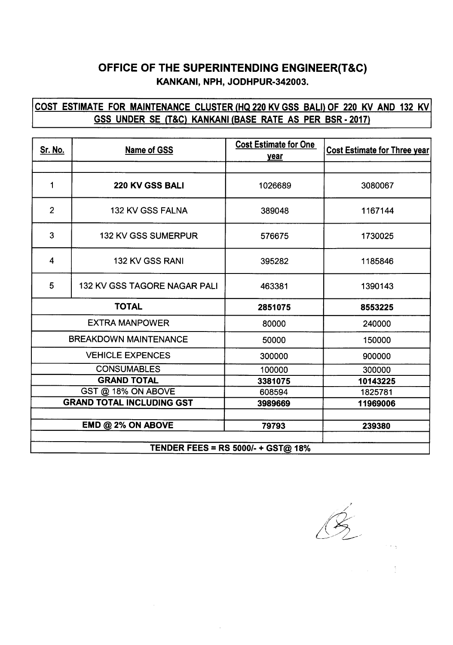## OFFICE OF THE SUPERINTENDING ENGINEER(T&C) KANKANI, NPH, JODHPUR·342003.

## COST ESTIMATE FOR MAINTENANCECLUSTER(HQ220 KV GSS BALI) OF 220 KV AND 132 KV GSS UNDER SE (T&C) KANKANI(BASE RATE AS PER BSR· 2017)

| <u>Sr. No.</u>                            | Name of GSS                  | <b>Cost Estimate for One</b><br>year | <b>Cost Estimate for Three year</b> |  |
|-------------------------------------------|------------------------------|--------------------------------------|-------------------------------------|--|
|                                           |                              |                                      |                                     |  |
| 1                                         | 220 KV GSS BALI              | 1026689                              | 3080067                             |  |
| $\overline{2}$                            | 132 KV GSS FALNA             | 389048                               | 1167144                             |  |
| 3                                         | 132 KV GSS SUMERPUR          | 576675                               | 1730025                             |  |
| 4                                         | 132 KV GSS RANI              | 395282                               | 1185846                             |  |
| 5                                         | 132 KV GSS TAGORE NAGAR PALI | 463381                               | 1390143                             |  |
| <b>TOTAL</b>                              |                              | 2851075                              | 8553225                             |  |
| <b>EXTRA MANPOWER</b>                     |                              | 80000                                | 240000                              |  |
| <b>BREAKDOWN MAINTENANCE</b>              |                              | 50000                                | 150000                              |  |
| <b>VEHICLE EXPENCES</b>                   |                              | 300000                               | 900000                              |  |
| <b>CONSUMABLES</b>                        |                              | 100000                               | 300000                              |  |
| <b>GRAND TOTAL</b>                        |                              | 3381075                              | 10143225                            |  |
| GST @ 18% ON ABOVE                        |                              | 608594                               | 1825781                             |  |
| <b>GRAND TOTAL INCLUDING GST</b>          |                              | 3989669                              | 11969006                            |  |
|                                           |                              |                                      |                                     |  |
|                                           | $EMD @ 2\% ON ABOVE$         | 79793                                | 239380                              |  |
|                                           |                              |                                      |                                     |  |
| <b>TENDER FEES = RS 5000/- + GST@ 18%</b> |                              |                                      |                                     |  |

 $\sum$